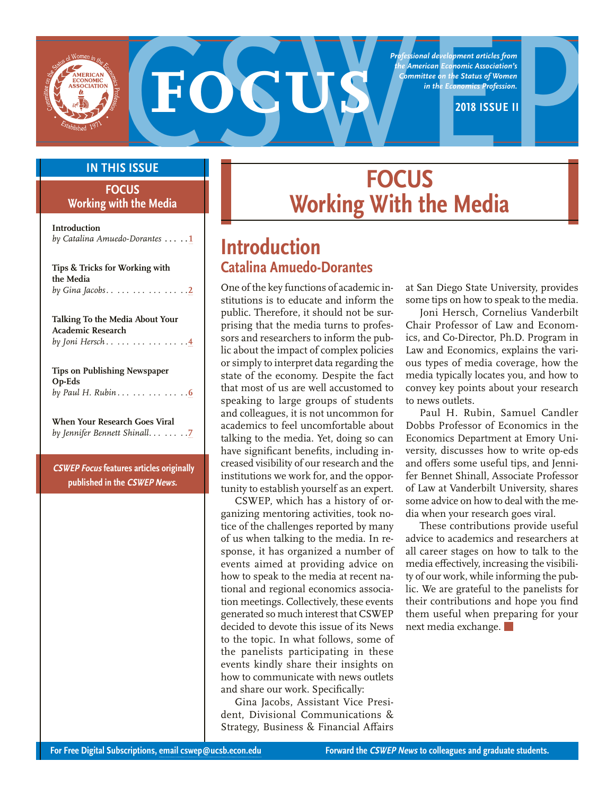

**Professional development articles from**<br>the American Economics Association's<br>in the Economics Profession.<br>2018 ISSUE II<br>**EQQUIS** *Professional development articles from the American Economic Association's Committee on the Status of Women in the Economics Profession.*

### **IN THIS ISSUE**

#### **FOCUS Working with the Media**

**Introduction**  *by Catalina Amuedo-Dorantes* **. . . . 1**

| Tips & Tricks for Working with<br>the Media<br>by Gina Jacobs. <u>2</u>                |
|----------------------------------------------------------------------------------------|
| Talking To the Media About Your<br><b>Academic Research</b><br>by Joni Hersch 4        |
| <b>Tips on Publishing Newspaper</b><br>Op-Eds<br>by Paul H. Rubin                      |
| When Your Research Goes Viral<br>by Jennifer Bennett Shinall. 7                        |
| <b>CSWEP Focus features articles originally</b><br>published in the <i>CSWEP News.</i> |

# **FOCUS Working With the Media**

# **Introduction Catalina Amuedo-Dorantes**

One of the key functions of academic institutions is to educate and inform the public. Therefore, it should not be surprising that the media turns to professors and researchers to inform the public about the impact of complex policies or simply to interpret data regarding the state of the economy. Despite the fact that most of us are well accustomed to speaking to large groups of students and colleagues, it is not uncommon for academics to feel uncomfortable about talking to the media. Yet, doing so can have significant benefits, including increased visibility of our research and the institutions we work for, and the opportunity to establish yourself as an expert.

CSWEP, which has a history of organizing mentoring activities, took notice of the challenges reported by many of us when talking to the media. In response, it has organized a number of events aimed at providing advice on how to speak to the media at recent national and regional economics association meetings. Collectively, these events generated so much interest that CSWEP decided to devote this issue of its News to the topic. In what follows, some of the panelists participating in these events kindly share their insights on how to communicate with news outlets and share our work. Specifically:

Gina Jacobs, Assistant Vice President, Divisional Communications & Strategy, Business & Financial Affairs

at San Diego State University, provides some tips on how to speak to the media.

Joni Hersch, Cornelius Vanderbilt Chair Professor of Law and Economics, and Co-Director, Ph.D. Program in Law and Economics, explains the various types of media coverage, how the media typically locates you, and how to convey key points about your research to news outlets.

Paul H. Rubin, Samuel Candler Dobbs Professor of Economics in the Economics Department at Emory University, discusses how to write op-eds and offers some useful tips, and Jennifer Bennet Shinall, Associate Professor of Law at Vanderbilt University, shares some advice on how to deal with the media when your research goes viral.

These contributions provide useful advice to academics and researchers at all career stages on how to talk to the media effectively, increasing the visibility of our work, while informing the public. We are grateful to the panelists for their contributions and hope you find them useful when preparing for your next media exchange.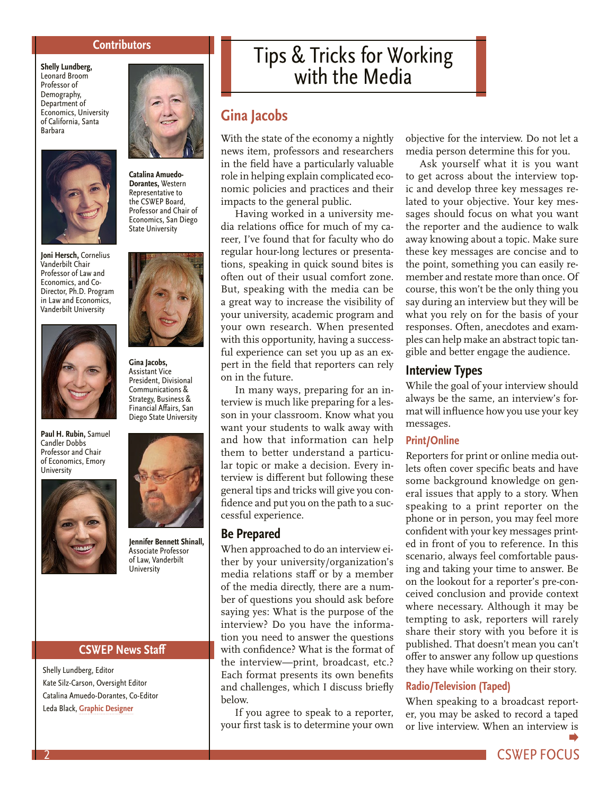#### **Contributors**

<span id="page-1-0"></span>**Shelly Lundberg,**  Leonard Broom Professor of Demography, Department of Economics, University of California, Santa Barbara



**Dorantes,** Western Representative to the CSWEP Board, State University





**Paul H. Rubin,** Samuel Candler Dobbs Professor and Chair of Economics, Emory **University** 







Assistant Vice President, Divisional Communications & Strategy, Business & Financial Affairs, San Diego State University



**Jennifer Bennett Shinall,** Associate Professor of Law, Vanderbilt **University** 

#### **CSWEP News Staff**

Shelly Lundberg, Editor Kate Silz-Carson, Oversight Editor Catalina Amuedo-Dorantes, Co-Editor Leda Black, **[Graphic Designer](https://www.ledablack.com/)**

# Tips & Tricks for Working with the Media

# **Gina Jacobs**

With the state of the economy a nightly news item, professors and researchers in the field have a particularly valuable role in helping explain complicated economic policies and practices and their impacts to the general public.

Having worked in a university media relations office for much of my career, I've found that for faculty who do regular hour-long lectures or presentations, speaking in quick sound bites is often out of their usual comfort zone. But, speaking with the media can be a great way to increase the visibility of your university, academic program and your own research. When presented with this opportunity, having a successful experience can set you up as an expert in the field that reporters can rely on in the future.

In many ways, preparing for an interview is much like preparing for a lesson in your classroom. Know what you want your students to walk away with and how that information can help them to better understand a particular topic or make a decision. Every interview is different but following these general tips and tricks will give you confidence and put you on the path to a successful experience.

#### **Be Prepared**

When approached to do an interview either by your university/organization's media relations staff or by a member of the media directly, there are a number of questions you should ask before saying yes: What is the purpose of the interview? Do you have the information you need to answer the questions with confidence? What is the format of the interview—print, broadcast, etc.? Each format presents its own benefits and challenges, which I discuss briefly below.

If you agree to speak to a reporter, your first task is to determine your own objective for the interview. Do not let a media person determine this for you.

Ask yourself what it is you want to get across about the interview topic and develop three key messages related to your objective. Your key messages should focus on what you want the reporter and the audience to walk away knowing about a topic. Make sure these key messages are concise and to the point, something you can easily remember and restate more than once. Of course, this won't be the only thing you say during an interview but they will be what you rely on for the basis of your responses. Often, anecdotes and examples can help make an abstract topic tangible and better engage the audience.

#### **Interview Types**

While the goal of your interview should always be the same, an interview's format will influence how you use your key messages.

#### **Print/Online**

Reporters for print or online media outlets often cover specific beats and have some background knowledge on general issues that apply to a story. When speaking to a print reporter on the phone or in person, you may feel more confident with your key messages printed in front of you to reference. In this scenario, always feel comfortable pausing and taking your time to answer. Be on the lookout for a reporter's pre-conceived conclusion and provide context where necessary. Although it may be tempting to ask, reporters will rarely share their story with you before it is published. That doesn't mean you can't offer to answer any follow up questions they have while working on their story.

#### **Radio/Television (Taped)**

When speaking to a broadcast reporter, you may be asked to record a taped or live interview. When an intervie[w is](#page-2-0)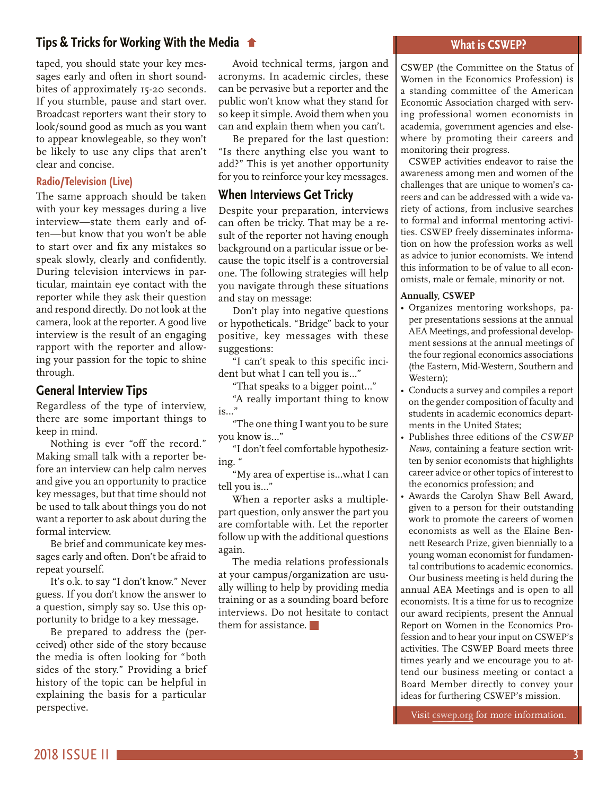# <span id="page-2-0"></span>**[Tips & Tricks for Working With the Media](#page-1-0)**

taped, you should state your key messages early and often in short soundbites of approximately 15-20 seconds. If you stumble, pause and start over. Broadcast reporters want their story to look/sound good as much as you want to appear knowlegeable, so they won't be likely to use any clips that aren't clear and concise.

#### **Radio/Television (Live)**

The same approach should be taken with your key messages during a live interview—state them early and often—but know that you won't be able to start over and fix any mistakes so speak slowly, clearly and confidently. During television interviews in particular, maintain eye contact with the reporter while they ask their question and respond directly. Do not look at the camera, look at the reporter. A good live interview is the result of an engaging rapport with the reporter and allowing your passion for the topic to shine through.

#### **General Interview Tips**

Regardless of the type of interview, there are some important things to keep in mind.

Nothing is ever "off the record." Making small talk with a reporter before an interview can help calm nerves and give you an opportunity to practice key messages, but that time should not be used to talk about things you do not want a reporter to ask about during the formal interview.

Be brief and communicate key messages early and often. Don't be afraid to repeat yourself.

It's o.k. to say "I don't know." Never guess. If you don't know the answer to a question, simply say so. Use this opportunity to bridge to a key message.

Be prepared to address the (perceived) other side of the story because the media is often looking for "both sides of the story." Providing a brief history of the topic can be helpful in explaining the basis for a particular perspective.

Avoid technical terms, jargon and acronyms. In academic circles, these can be pervasive but a reporter and the public won't know what they stand for so keep it simple. Avoid them when you can and explain them when you can't.

Be prepared for the last question: "Is there anything else you want to add?" This is yet another opportunity for you to reinforce your key messages.

#### **When Interviews Get Tricky**

Despite your preparation, interviews can often be tricky. That may be a result of the reporter not having enough background on a particular issue or because the topic itself is a controversial one. The following strategies will help you navigate through these situations and stay on message:

Don't play into negative questions or hypotheticals. "Bridge" back to your positive, key messages with these suggestions:

"I can't speak to this specific incident but what I can tell you is…"

"That speaks to a bigger point…"

"A really important thing to know is…"

"The one thing I want you to be sure you know is…"

"I don't feel comfortable hypothesizing. "

"My area of expertise is…what I can tell you is…"

When a reporter asks a multiplepart question, only answer the part you are comfortable with. Let the reporter follow up with the additional questions again.

The media relations professionals at your campus/organization are usually willing to help by providing media training or as a sounding board before interviews. Do not hesitate to contact them for assistance.

#### **What is CSWEP?**

CSWEP (the Committee on the Status of Women in the Economics Profession) is a standing committee of the American Economic Association charged with serving professional women economists in academia, government agencies and elsewhere by promoting their careers and monitoring their progress.

CSWEP activities endeavor to raise the awareness among men and women of the challenges that are unique to women's careers and can be addressed with a wide variety of actions, from inclusive searches to formal and informal mentoring activities. CSWEP freely disseminates information on how the profession works as well as advice to junior economists. We intend this information to be of value to all economists, male or female, minority or not.

#### **Annually, CSWEP**

- Organizes mentoring workshops, paper presentations sessions at the annual AEA Meetings, and professional development sessions at the annual meetings of the four regional economics associations (the Eastern, Mid-Western, Southern and Western);
- Conducts a survey and compiles a report on the gender composition of faculty and students in academic economics departments in the United States;
- Publishes three editions of the *CSWEP News,* containing a feature section written by senior economists that highlights career advice or other topics of interest to the economics profession; and
- Awards the Carolyn Shaw Bell Award, given to a person for their outstanding work to promote the careers of women economists as well as the Elaine Bennett Research Prize, given biennially to a young woman economist for fundamental contributions to academic economics. Our business meeting is held during the

annual AEA Meetings and is open to all economists. It is a time for us to recognize our award recipients, present the Annual Report on Women in the Economics Profession and to hear your input on CSWEP's activities. The CSWEP Board meets three times yearly and we encourage you to attend our business meeting or contact a Board Member directly to convey your ideas for furthering CSWEP's mission.

Visit **[cswep.org](http://www.aeaweb.org/committees/cswep/)** for more information.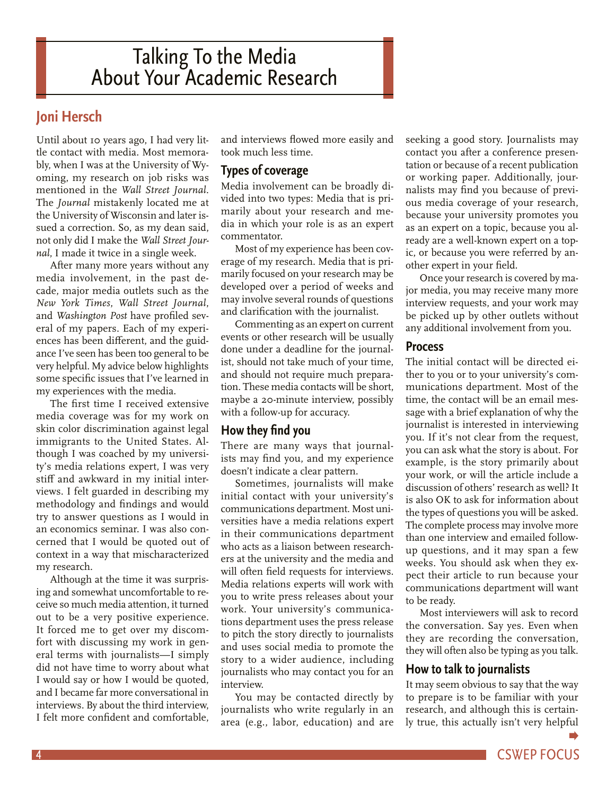# <span id="page-3-0"></span>Talking To the Media About Your Academic Research

# **Joni Hersch**

Until about 10 years ago, I had very little contact with media. Most memorably, when I was at the University of Wyoming, my research on job risks was mentioned in the *Wall Street Journal.* The *Journal* mistakenly located me at the University of Wisconsin and later issued a correction. So, as my dean said, not only did I make the *Wall Street Journal*, I made it twice in a single week.

After many more years without any media involvement, in the past decade, major media outlets such as the *New York Times*, *Wall Street Journal*, and *Washington Post* have profiled several of my papers. Each of my experiences has been different, and the guidance I've seen has been too general to be very helpful. My advice below highlights some specific issues that I've learned in my experiences with the media.

The first time I received extensive media coverage was for my work on skin color discrimination against legal immigrants to the United States. Although I was coached by my university's media relations expert, I was very stiff and awkward in my initial interviews. I felt guarded in describing my methodology and findings and would try to answer questions as I would in an economics seminar. I was also concerned that I would be quoted out of context in a way that mischaracterized my research.

Although at the time it was surprising and somewhat uncomfortable to receive so much media attention, it turned out to be a very positive experience. It forced me to get over my discomfort with discussing my work in general terms with journalists—I simply did not have time to worry about what I would say or how I would be quoted, and I became far more conversational in interviews. By about the third interview, I felt more confident and comfortable,

and interviews flowed more easily and took much less time.

# **Types of coverage**

Media involvement can be broadly divided into two types: Media that is primarily about your research and media in which your role is as an expert commentator.

Most of my experience has been coverage of my research. Media that is primarily focused on your research may be developed over a period of weeks and may involve several rounds of questions and clarification with the journalist.

Commenting as an expert on current events or other research will be usually done under a deadline for the journalist, should not take much of your time, and should not require much preparation. These media contacts will be short, maybe a 20-minute interview, possibly with a follow-up for accuracy.

# **How they find you**

There are many ways that journalists may find you, and my experience doesn't indicate a clear pattern.

Sometimes, journalists will make initial contact with your university's communications department. Most universities have a media relations expert in their communications department who acts as a liaison between researchers at the university and the media and will often field requests for interviews. Media relations experts will work with you to write press releases about your work. Your university's communications department uses the press release to pitch the story directly to journalists and uses social media to promote the story to a wider audience, including journalists who may contact you for an interview.

You may be contacted directly by journalists who write regularly in an area (e.g., labor, education) and are

seeking a good story. Journalists may contact you after a conference presentation or because of a recent publication or working paper. Additionally, journalists may find you because of previous media coverage of your research, because your university promotes you as an expert on a topic, because you already are a well-known expert on a topic, or because you were referred by another expert in your field.

Once your research is covered by major media, you may receive many more interview requests, and your work may be picked up by other outlets without any additional involvement from you.

#### **Process**

The initial contact will be directed either to you or to your university's communications department. Most of the time, the contact will be an email message with a brief explanation of why the journalist is interested in interviewing you. If it's not clear from the request, you can ask what the story is about. For example, is the story primarily about your work, or will the article include a discussion of others' research as well? It is also OK to ask for information about the types of questions you will be asked. The complete process may involve more than one interview and emailed followup questions, and it may span a few weeks. You should ask when they expect their article to run because your communications department will want to be ready.

Most interviewers will ask to record the conversation. Say yes. Even when they are recording the conversation, they will often also be typing as you talk.

# **How to talk to journalists**

It may seem obvious to say that the way to prepare is to be familiar with your research, and although this is certainly true, this actually isn't very helpful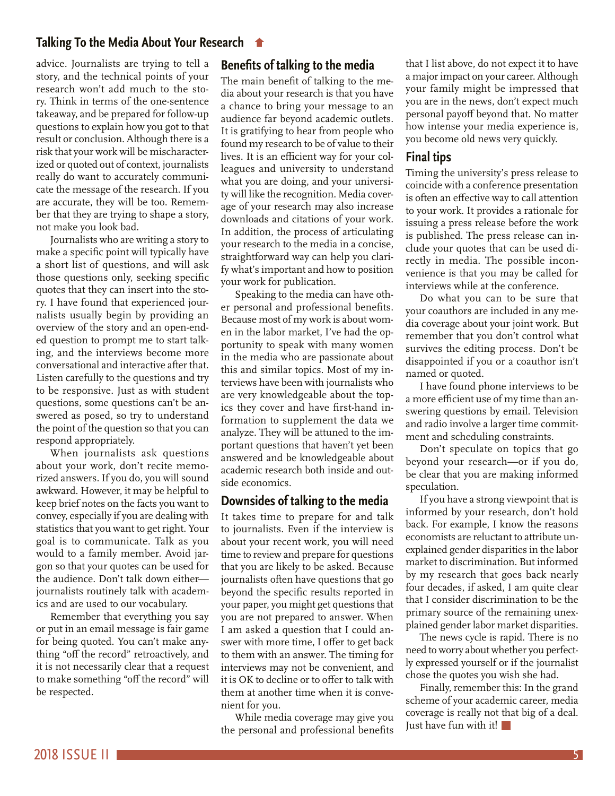### **[Talking To the Media About Your Research](#page-3-0)**

advice. Journalists are trying to tell a story, and the technical points of your research won't add much to the story. Think in terms of the one-sentence takeaway, and be prepared for follow-up questions to explain how you got to that result or conclusion. Although there is a risk that your work will be mischaracterized or quoted out of context, journalists really do want to accurately communicate the message of the research. If you are accurate, they will be too. Remember that they are trying to shape a story, not make you look bad.

Journalists who are writing a story to make a specific point will typically have a short list of questions, and will ask those questions only, seeking specific quotes that they can insert into the story. I have found that experienced journalists usually begin by providing an overview of the story and an open-ended question to prompt me to start talking, and the interviews become more conversational and interactive after that. Listen carefully to the questions and try to be responsive. Just as with student questions, some questions can't be answered as posed, so try to understand the point of the question so that you can respond appropriately.

When journalists ask questions about your work, don't recite memorized answers. If you do, you will sound awkward. However, it may be helpful to keep brief notes on the facts you want to convey, especially if you are dealing with statistics that you want to get right. Your goal is to communicate. Talk as you would to a family member. Avoid jargon so that your quotes can be used for the audience. Don't talk down either journalists routinely talk with academics and are used to our vocabulary.

Remember that everything you say or put in an email message is fair game for being quoted. You can't make anything "off the record" retroactively, and it is not necessarily clear that a request to make something "off the record" will be respected.

#### **Benefits of talking to the media**

The main benefit of talking to the media about your research is that you have a chance to bring your message to an audience far beyond academic outlets. It is gratifying to hear from people who found my research to be of value to their lives. It is an efficient way for your colleagues and university to understand what you are doing, and your university will like the recognition. Media coverage of your research may also increase downloads and citations of your work. In addition, the process of articulating your research to the media in a concise, straightforward way can help you clarify what's important and how to position your work for publication.

Speaking to the media can have other personal and professional benefits. Because most of my work is about women in the labor market, I've had the opportunity to speak with many women in the media who are passionate about this and similar topics. Most of my interviews have been with journalists who are very knowledgeable about the topics they cover and have first-hand information to supplement the data we analyze. They will be attuned to the important questions that haven't yet been answered and be knowledgeable about academic research both inside and outside economics.

#### **Downsides of talking to the media**

It takes time to prepare for and talk to journalists. Even if the interview is about your recent work, you will need time to review and prepare for questions that you are likely to be asked. Because journalists often have questions that go beyond the specific results reported in your paper, you might get questions that you are not prepared to answer. When I am asked a question that I could answer with more time, I offer to get back to them with an answer. The timing for interviews may not be convenient, and it is OK to decline or to offer to talk with them at another time when it is convenient for you.

While media coverage may give you the personal and professional benefits that I list above, do not expect it to have a major impact on your career. Although your family might be impressed that you are in the news, don't expect much personal payoff beyond that. No matter how intense your media experience is, you become old news very quickly.

#### **Final tips**

Timing the university's press release to coincide with a conference presentation is often an effective way to call attention to your work. It provides a rationale for issuing a press release before the work is published. The press release can include your quotes that can be used directly in media. The possible inconvenience is that you may be called for interviews while at the conference.

Do what you can to be sure that your coauthors are included in any media coverage about your joint work. But remember that you don't control what survives the editing process. Don't be disappointed if you or a coauthor isn't named or quoted.

I have found phone interviews to be a more efficient use of my time than answering questions by email. Television and radio involve a larger time commitment and scheduling constraints.

Don't speculate on topics that go beyond your research—or if you do, be clear that you are making informed speculation.

If you have a strong viewpoint that is informed by your research, don't hold back. For example, I know the reasons economists are reluctant to attribute unexplained gender disparities in the labor market to discrimination. But informed by my research that goes back nearly four decades, if asked, I am quite clear that I consider discrimination to be the primary source of the remaining unexplained gender labor market disparities.

The news cycle is rapid. There is no need to worry about whether you perfectly expressed yourself or if the journalist chose the quotes you wish she had.

Finally, remember this: In the grand scheme of your academic career, media coverage is really not that big of a deal. Just have fun with it!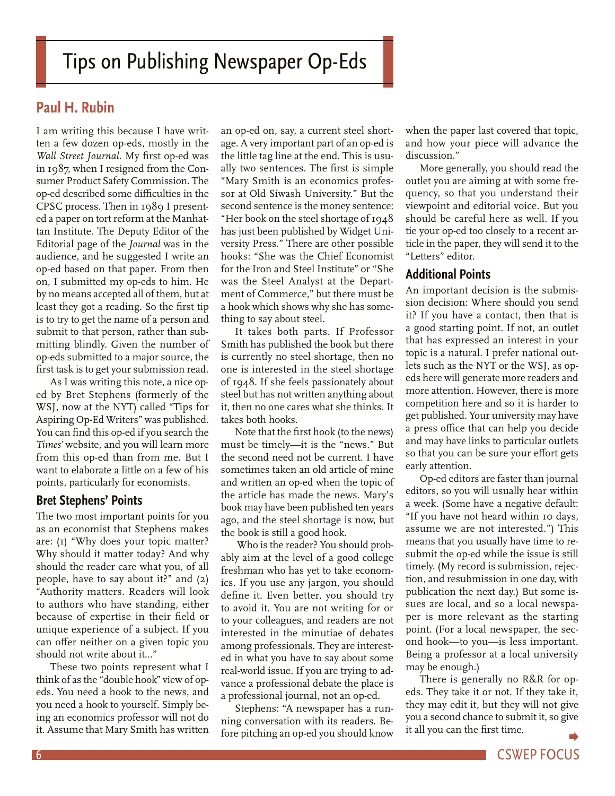# <span id="page-5-0"></span>**Paul H. Rubin**

I am writing this because I have written a few dozen op-eds, mostly in the *Wall Street Journal*. My first op-ed was in 1987, when I resigned from the Consumer Product Safety Commission. The op-ed described some difficulties in the CPSC process. Then in 1989 I presented a paper on tort reform at the Manhattan Institute. The Deputy Editor of the Editorial page of the *Journal* was in the audience, and he suggested I write an op-ed based on that paper. From then on, I submitted my op-eds to him. He by no means accepted all of them, but at least they got a reading. So the first tip is to try to get the name of a person and submit to that person, rather than submitting blindly. Given the number of op-eds submitted to a major source, the first task is to get your submission read.

As I was writing this note, a nice oped by Bret Stephens (formerly of the WSJ, now at the NYT) called "Tips for Aspiring Op-Ed Writers" was published. You can find this op-ed if you search the *Times'* website, and you will learn more from this op-ed than from me. But I want to elaborate a little on a few of his points, particularly for economists.

# **Bret Stephens' Points**

The two most important points for you as an economist that Stephens makes are: (1) "Why does your topic matter? Why should it matter today? And why should the reader care what you, of all people, have to say about it?" and (2) "Authority matters. Readers will look to authors who have standing, either because of expertise in their field or unique experience of a subject. If you can offer neither on a given topic you should not write about it…"

These two points represent what I think of as the "double hook" view of opeds. You need a hook to the news, and you need a hook to yourself. Simply being an economics professor will not do it. Assume that Mary Smith has written

an op-ed on, say, a current steel shortage. A very important part of an op-ed is the little tag line at the end. This is usually two sentences. The first is simple "Mary Smith is an economics professor at Old Siwash University." But the second sentence is the money sentence: "Her book on the steel shortage of 1948 has just been published by Widget University Press." There are other possible hooks: "She was the Chief Economist for the Iron and Steel Institute" or "She was the Steel Analyst at the Department of Commerce," but there must be a hook which shows why she has something to say about steel.

It takes both parts. If Professor Smith has published the book but there is currently no steel shortage, then no one is interested in the steel shortage of 1948. If she feels passionately about steel but has not written anything about it, then no one cares what she thinks. It takes both hooks.

Note that the first hook (to the news) must be timely—it is the "news." But the second need not be current. I have sometimes taken an old article of mine and written an op-ed when the topic of the article has made the news. Mary's book may have been published ten years ago, and the steel shortage is now, but the book is still a good hook.

 Who is the reader? You should probably aim at the level of a good college freshman who has yet to take economics. If you use any jargon, you should define it. Even better, you should try to avoid it. You are not writing for or to your colleagues, and readers are not interested in the minutiae of debates among professionals. They are interested in what you have to say about some real-world issue. If you are trying to advance a professional debate the place is a professional journal, not an op-ed.

Stephens: "A newspaper has a running conversation with its readers. Before pitching an op-ed you should know

when the paper last covered that topic, and how your piece will advance the discussion."

More generally, you should read the outlet you are aiming at with some frequency, so that you understand their viewpoint and editorial voice. But you should be careful here as well. If you tie your op-ed too closely to a recent article in the paper, they will send it to the "Letters" editor.

# **Additional Points**

An important decision is the submission decision: Where should you send it? If you have a contact, then that is a good starting point. If not, an outlet that has expressed an interest in your topic is a natural. I prefer national outlets such as the NYT or the WSJ, as opeds here will generate more readers and more attention. However, there is more competition here and so it is harder to get published. Your university may have a press office that can help you decide and may have links to particular outlets so that you can be sure your effort gets early attention.

Op-ed editors are faster than journal editors, so you will usually hear within a week. (Some have a negative default: "If you have not heard within 10 days, assume we are not interested.") This means that you usually have time to resubmit the op-ed while the issue is still timely. (My record is submission, rejection, and resubmission in one day, with publication the next day.) But some issues are local, and so a local newspaper is more relevant as the starting point. (For a local newspaper, the second hook—to you—is less important. Being a professor at a local university may be enough.)

There is generally no R&R for opeds. They take it or not. If they take it, they may edit it, but they will not give you a second chance to submit it, so give it all you can the first time.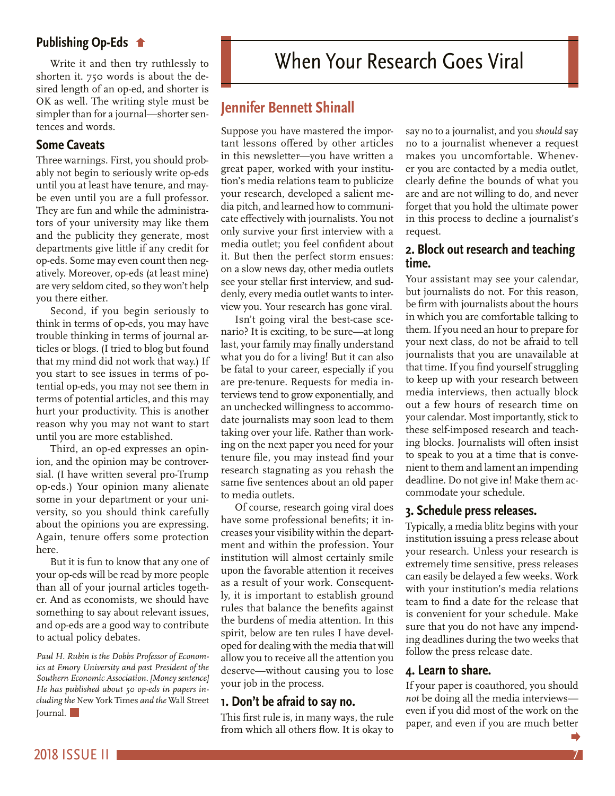### <span id="page-6-0"></span>**Publishing Op-Eds**

[Write it and then try ruthlessly to](#page-5-0)  shorten it. 750 words is about the desired length of an op-ed, and shorter is OK as well. The writing style must be simpler than for a journal—shorter sentences and words.

### **Some Caveats**

Three warnings. First, you should probably not begin to seriously write op-eds until you at least have tenure, and maybe even until you are a full professor. They are fun and while the administrators of your university may like them and the publicity they generate, most departments give little if any credit for op-eds. Some may even count then negatively. Moreover, op-eds (at least mine) are very seldom cited, so they won't help you there either.

Second, if you begin seriously to think in terms of op-eds, you may have trouble thinking in terms of journal articles or blogs. (I tried to blog but found that my mind did not work that way.) If you start to see issues in terms of potential op-eds, you may not see them in terms of potential articles, and this may hurt your productivity. This is another reason why you may not want to start until you are more established.

Third, an op-ed expresses an opinion, and the opinion may be controversial. (I have written several pro-Trump op-eds.) Your opinion many alienate some in your department or your university, so you should think carefully about the opinions you are expressing. Again, tenure offers some protection here.

But it is fun to know that any one of your op-eds will be read by more people than all of your journal articles together. And as economists, we should have something to say about relevant issues, and op-eds are a good way to contribute to actual policy debates.

*Paul H. Rubin is the Dobbs Professor of Economics at Emory University and past President of the Southern Economic Association. [Money sentence] He has published about 50 op-eds in papers including the* New York Times *and the* Wall Street Journal.

# **Jennifer Bennett Shinall**

Suppose you have mastered the important lessons offered by other articles in this newsletter—you have written a great paper, worked with your institution's media relations team to publicize your research, developed a salient media pitch, and learned how to communicate effectively with journalists. You not only survive your first interview with a media outlet; you feel confident about it. But then the perfect storm ensues: on a slow news day, other media outlets see your stellar first interview, and suddenly, every media outlet wants to interview you. Your research has gone viral.

Isn't going viral the best-case scenario? It is exciting, to be sure—at long last, your family may finally understand what you do for a living! But it can also be fatal to your career, especially if you are pre-tenure. Requests for media interviews tend to grow exponentially, and an unchecked willingness to accommodate journalists may soon lead to them taking over your life. Rather than working on the next paper you need for your tenure file, you may instead find your research stagnating as you rehash the same five sentences about an old paper to media outlets.

Of course, research going viral does have some professional benefits; it increases your visibility within the department and within the profession. Your institution will almost certainly smile upon the favorable attention it receives as a result of your work. Consequently, it is important to establish ground rules that balance the benefits against the burdens of media attention. In this spirit, below are ten rules I have developed for dealing with the media that will allow you to receive all the attention you deserve—without causing you to lose your job in the process.

#### **1. Don't be afraid to say no.**

This first rule is, in many ways, the rule from which all others flow. It is okay to say no to a journalist, and you *should* say no to a journalist whenever a request makes you uncomfortable. Whenever you are contacted by a media outlet, clearly define the bounds of what you are and are not willing to do, and never forget that you hold the ultimate power in this process to decline a journalist's request.

#### **2. Block out research and teaching time.**

Your assistant may see your calendar, but journalists do not. For this reason, be firm with journalists about the hours in which you are comfortable talking to them. If you need an hour to prepare for your next class, do not be afraid to tell journalists that you are unavailable at that time. If you find yourself struggling to keep up with your research between media interviews, then actually block out a few hours of research time on your calendar. Most importantly, stick to these self-imposed research and teaching blocks. Journalists will often insist to speak to you at a time that is convenient to them and lament an impending deadline. Do not give in! Make them accommodate your schedule.

#### **3. Schedule press releases.**

Typically, a media blitz begins with your institution issuing a press release about your research. Unless your research is extremely time sensitive, press releases can easily be delayed a few weeks. Work with your institution's media relations team to find a date for the release that is convenient for your schedule. Make sure that you do not have any impending deadlines during the two weeks that follow the press release date.

#### **4. Learn to share.**

If your paper is coauthored, you should *not* be doing all the media interviews even if you did most of the work on the paper, and even if you are much better